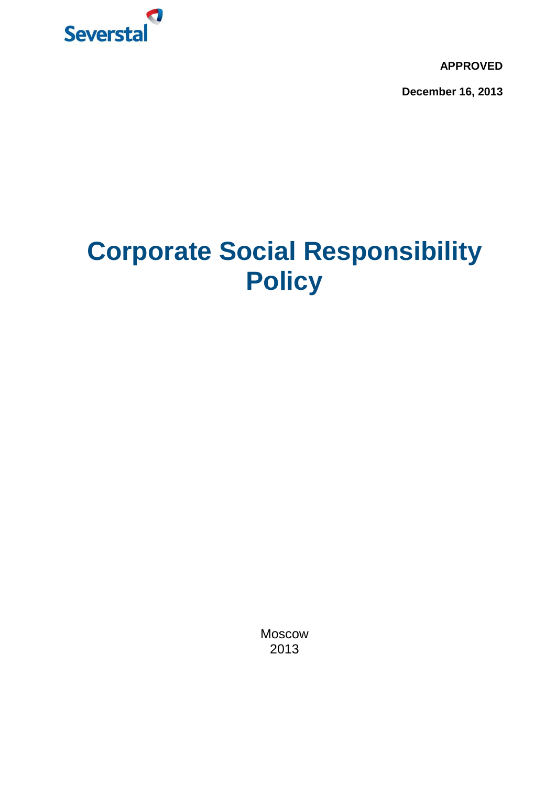

**APPROVED**

**December 16, 2013**

# **Corporate Social Responsibility Policy**

Moscow 2013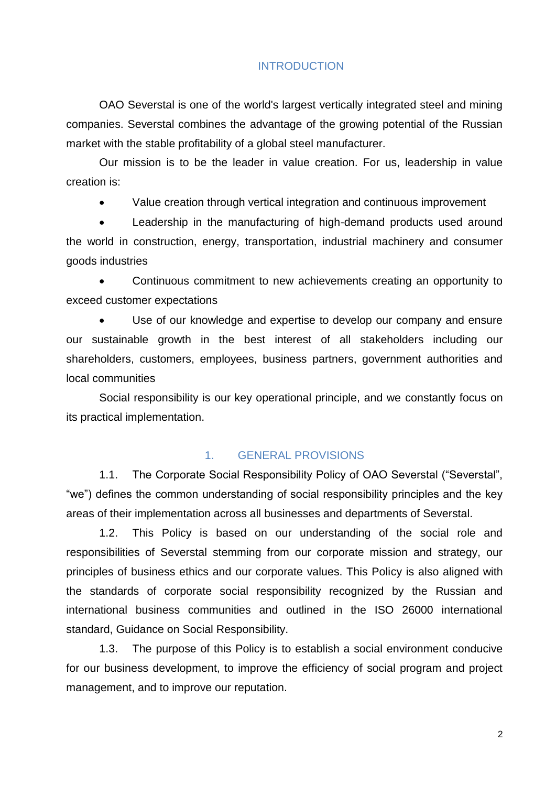#### INTRODUCTION

OAO Severstal is one of the world's largest vertically integrated steel and mining companies. Severstal combines the advantage of the growing potential of the Russian market with the stable profitability of a global steel manufacturer.

Our mission is to be the leader in value creation. For us, leadership in value creation is:

Value creation through vertical integration and continuous improvement

 Leadership in the manufacturing of high-demand products used around the world in construction, energy, transportation, industrial machinery and consumer goods industries

 Continuous commitment to new achievements creating an opportunity to exceed customer expectations

 Use of our knowledge and expertise to develop our company and ensure our sustainable growth in the best interest of all stakeholders including our shareholders, customers, employees, business partners, government authorities and local communities

Social responsibility is our key operational principle, and we constantly focus on its practical implementation.

### 1. GENERAL PROVISIONS

1.1. The Corporate Social Responsibility Policy of OAO Severstal ("Severstal", "we") defines the common understanding of social responsibility principles and the key areas of their implementation across all businesses and departments of Severstal.

1.2. This Policy is based on our understanding of the social role and responsibilities of Severstal stemming from our corporate mission and strategy, our principles of business ethics and our corporate values. This Policy is also aligned with the standards of corporate social responsibility recognized by the Russian and international business communities and outlined in the ISO 26000 international standard, Guidance on Social Responsibility.

1.3. The purpose of this Policy is to establish a social environment conducive for our business development, to improve the efficiency of social program and project management, and to improve our reputation.

2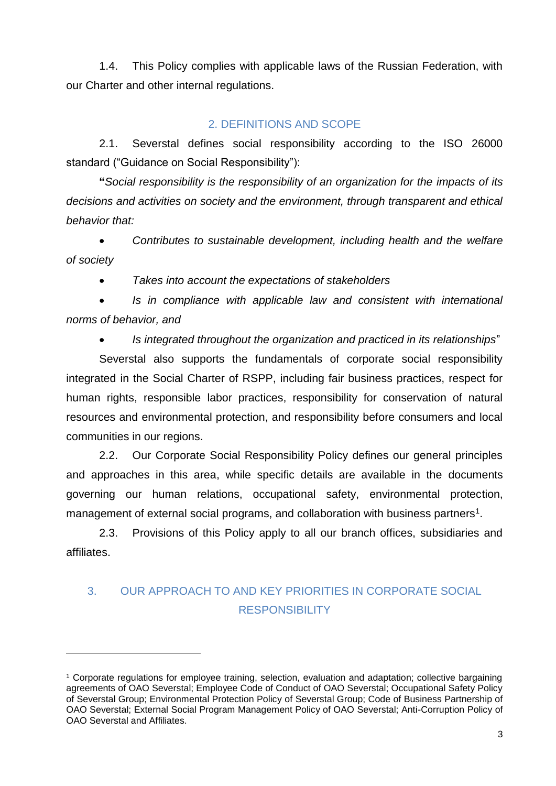1.4. This Policy complies with applicable laws of the Russian Federation, with our Charter and other internal regulations.

### 2. DEFINITIONS AND SCOPE

2.1. Severstal defines social responsibility according to the ISO 26000 standard ("Guidance on Social Responsibility"):

**"***Social responsibility is the responsibility of an organization for the impacts of its decisions and activities on society and the environment, through transparent and ethical behavior that:*

 *Contributes to sustainable development, including health and the welfare of society*

*Takes into account the expectations of stakeholders*

 *Is in compliance with applicable law and consistent with international norms of behavior, and* 

*Is integrated throughout the organization and practiced in its relationships*"

Severstal also supports the fundamentals of corporate social responsibility integrated in the Social Charter of RSPP, including fair business practices, respect for human rights, responsible labor practices, responsibility for conservation of natural resources and environmental protection, and responsibility before consumers and local communities in our regions.

2.2. Our Corporate Social Responsibility Policy defines our general principles and approaches in this area, while specific details are available in the documents governing our human relations, occupational safety, environmental protection, management of external social programs, and collaboration with business partners<sup>1</sup>.

2.3. Provisions of this Policy apply to all our branch offices, subsidiaries and affiliates.

## 3. OUR APPROACH TO AND KEY PRIORITIES IN CORPORATE SOCIAL **RESPONSIBILITY**

 $\overline{a}$ 

<sup>1</sup> Corporate regulations for employee training, selection, evaluation and adaptation; collective bargaining agreements of OAO Severstal; Employee Code of Conduct of OAO Severstal; Occupational Safety Policy of Severstal Group; Environmental Protection Policy of Severstal Group; Code of Business Partnership of OAO Severstal; External Social Program Management Policy of OAO Severstal; Anti-Corruption Policy of OAO Severstal and Affiliates.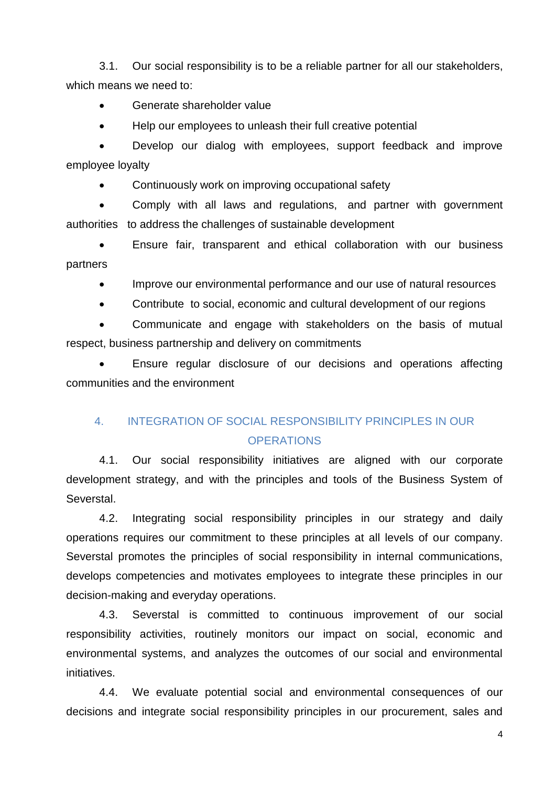3.1. Our social responsibility is to be a reliable partner for all our stakeholders, which means we need to:

- Generate shareholder value
- Help our employees to unleash their full creative potential

 Develop our dialog with employees, support feedback and improve employee loyalty

• Continuously work on improving occupational safety

 Comply with all laws and regulations, and partner with government authorities to address the challenges of sustainable development

 Ensure fair, transparent and ethical collaboration with our business partners

• Improve our environmental performance and our use of natural resources

Contribute to social, economic and cultural development of our regions

 Communicate and engage with stakeholders on the basis of mutual respect, business partnership and delivery on commitments

 Ensure regular disclosure of our decisions and operations affecting communities and the environment

## 4. INTEGRATION OF SOCIAL RESPONSIBILITY PRINCIPLES IN OUR **OPERATIONS**

4.1. Our social responsibility initiatives are aligned with our corporate development strategy, and with the principles and tools of the Business System of Severstal.

4.2. Integrating social responsibility principles in our strategy and daily operations requires our commitment to these principles at all levels of our company. Severstal promotes the principles of social responsibility in internal communications, develops competencies and motivates employees to integrate these principles in our decision-making and everyday operations.

4.3. Severstal is committed to continuous improvement of our social responsibility activities, routinely monitors our impact on social, economic and environmental systems, and analyzes the outcomes of our social and environmental initiatives.

4.4. We evaluate potential social and environmental consequences of our decisions and integrate social responsibility principles in our procurement, sales and